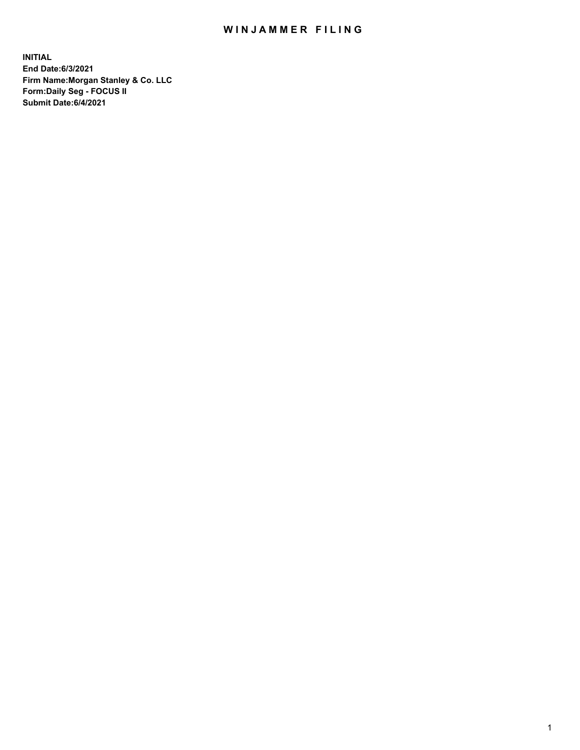## WIN JAMMER FILING

**INITIAL End Date:6/3/2021 Firm Name:Morgan Stanley & Co. LLC Form:Daily Seg - FOCUS II Submit Date:6/4/2021**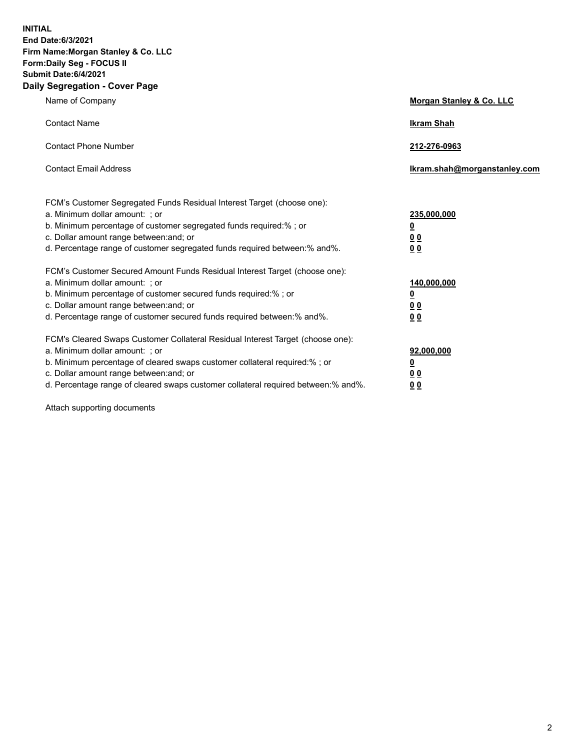**INITIAL End Date:6/3/2021 Firm Name:Morgan Stanley & Co. LLC Form:Daily Seg - FOCUS II Submit Date:6/4/2021 Daily Segregation - Cover Page**

| Name of Company                                                                                                                                                                                                                                                                                                                | <b>Morgan Stanley &amp; Co. LLC</b>                        |
|--------------------------------------------------------------------------------------------------------------------------------------------------------------------------------------------------------------------------------------------------------------------------------------------------------------------------------|------------------------------------------------------------|
| <b>Contact Name</b>                                                                                                                                                                                                                                                                                                            | <b>Ikram Shah</b>                                          |
| <b>Contact Phone Number</b>                                                                                                                                                                                                                                                                                                    | 212-276-0963                                               |
| <b>Contact Email Address</b>                                                                                                                                                                                                                                                                                                   | Ikram.shah@morganstanley.com                               |
| FCM's Customer Segregated Funds Residual Interest Target (choose one):<br>a. Minimum dollar amount: ; or<br>b. Minimum percentage of customer segregated funds required:% ; or<br>c. Dollar amount range between: and; or<br>d. Percentage range of customer segregated funds required between: % and %.                       | 235,000,000<br><u>0</u><br><u>00</u><br>0 <sup>0</sup>     |
| FCM's Customer Secured Amount Funds Residual Interest Target (choose one):<br>a. Minimum dollar amount: ; or<br>b. Minimum percentage of customer secured funds required:%; or<br>c. Dollar amount range between: and; or<br>d. Percentage range of customer secured funds required between: % and %.                          | 140,000,000<br><u>0</u><br><u>00</u><br>0 <sup>0</sup>     |
| FCM's Cleared Swaps Customer Collateral Residual Interest Target (choose one):<br>a. Minimum dollar amount: ; or<br>b. Minimum percentage of cleared swaps customer collateral required:% ; or<br>c. Dollar amount range between: and; or<br>d. Percentage range of cleared swaps customer collateral required between:% and%. | 92,000,000<br><u>0</u><br>0 <sup>0</sup><br>0 <sub>0</sub> |

Attach supporting documents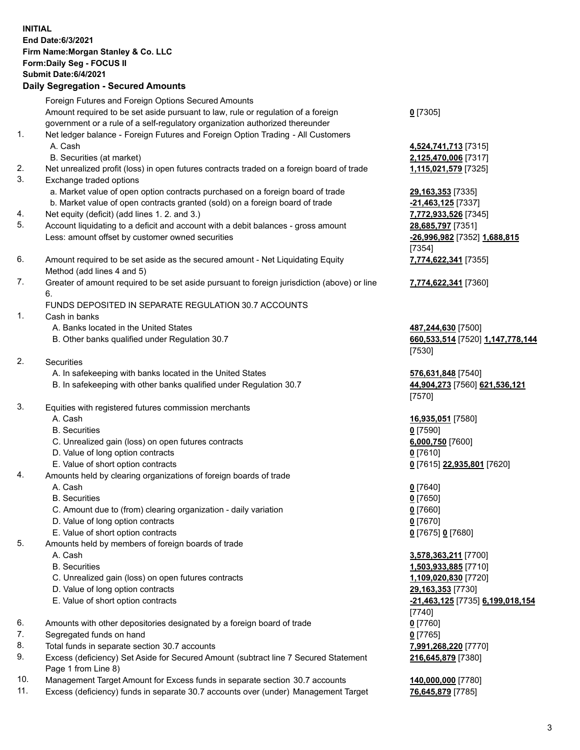|    | <b>INITIAL</b><br><b>End Date:6/3/2021</b><br>Firm Name: Morgan Stanley & Co. LLC<br>Form: Daily Seg - FOCUS II<br><b>Submit Date:6/4/2021</b><br><b>Daily Segregation - Secured Amounts</b> |                                                       |
|----|----------------------------------------------------------------------------------------------------------------------------------------------------------------------------------------------|-------------------------------------------------------|
|    | Foreign Futures and Foreign Options Secured Amounts                                                                                                                                          |                                                       |
|    | Amount required to be set aside pursuant to law, rule or regulation of a foreign                                                                                                             | $0$ [7305]                                            |
|    | government or a rule of a self-regulatory organization authorized thereunder                                                                                                                 |                                                       |
| 1. | Net ledger balance - Foreign Futures and Foreign Option Trading - All Customers                                                                                                              |                                                       |
|    | A. Cash                                                                                                                                                                                      | 4,524,741,713 [7315]                                  |
| 2. | B. Securities (at market)<br>Net unrealized profit (loss) in open futures contracts traded on a foreign board of trade                                                                       | 2,125,470,006 [7317]<br>1,115,021,579 [7325]          |
| 3. | Exchange traded options                                                                                                                                                                      |                                                       |
|    | a. Market value of open option contracts purchased on a foreign board of trade                                                                                                               | 29,163,353 [7335]                                     |
|    | b. Market value of open contracts granted (sold) on a foreign board of trade                                                                                                                 | $-21,463,125$ [7337]                                  |
| 4. | Net equity (deficit) (add lines 1.2. and 3.)                                                                                                                                                 | 7,772,933,526 [7345]                                  |
| 5. | Account liquidating to a deficit and account with a debit balances - gross amount                                                                                                            | 28,685,797 [7351]                                     |
|    | Less: amount offset by customer owned securities                                                                                                                                             | -26,996,982 [7352] 1,688,815                          |
|    |                                                                                                                                                                                              | [7354]                                                |
| 6. | Amount required to be set aside as the secured amount - Net Liquidating Equity                                                                                                               | 7,774,622,341 [7355]                                  |
| 7. | Method (add lines 4 and 5)<br>Greater of amount required to be set aside pursuant to foreign jurisdiction (above) or line                                                                    | 7,774,622,341 [7360]                                  |
|    | 6.                                                                                                                                                                                           |                                                       |
|    | FUNDS DEPOSITED IN SEPARATE REGULATION 30.7 ACCOUNTS                                                                                                                                         |                                                       |
| 1. | Cash in banks                                                                                                                                                                                |                                                       |
|    | A. Banks located in the United States                                                                                                                                                        | 487,244,630 [7500]                                    |
|    | B. Other banks qualified under Regulation 30.7                                                                                                                                               | 660,533,514 [7520] 1,147,778,144                      |
|    |                                                                                                                                                                                              | [7530]                                                |
| 2. | <b>Securities</b>                                                                                                                                                                            |                                                       |
|    | A. In safekeeping with banks located in the United States<br>B. In safekeeping with other banks qualified under Regulation 30.7                                                              | 576,631,848 [7540]<br>44,904,273 [7560] 621,536,121   |
|    |                                                                                                                                                                                              | [7570]                                                |
| 3. | Equities with registered futures commission merchants                                                                                                                                        |                                                       |
|    | A. Cash                                                                                                                                                                                      | 16,935,051 [7580]                                     |
|    | <b>B.</b> Securities                                                                                                                                                                         | $0$ [7590]                                            |
|    | C. Unrealized gain (loss) on open futures contracts                                                                                                                                          | 6,000,750 [7600]                                      |
|    | D. Value of long option contracts                                                                                                                                                            | $0$ [7610]                                            |
|    | E. Value of short option contracts                                                                                                                                                           | 0 [7615] 22,935,801 [7620]                            |
| 4. | Amounts held by clearing organizations of foreign boards of trade<br>A. Cash                                                                                                                 | $0$ [7640]                                            |
|    | <b>B.</b> Securities                                                                                                                                                                         | $0$ [7650]                                            |
|    | C. Amount due to (from) clearing organization - daily variation                                                                                                                              | $0$ [7660]                                            |
|    | D. Value of long option contracts                                                                                                                                                            | $0$ [7670]                                            |
|    | E. Value of short option contracts                                                                                                                                                           | 0 [7675] 0 [7680]                                     |
| 5. | Amounts held by members of foreign boards of trade                                                                                                                                           |                                                       |
|    | A. Cash                                                                                                                                                                                      | 3,578,363,211 [7700]                                  |
|    | <b>B.</b> Securities                                                                                                                                                                         | 1,503,933,885 [7710]                                  |
|    | C. Unrealized gain (loss) on open futures contracts                                                                                                                                          | 1,109,020,830 [7720]                                  |
|    | D. Value of long option contracts<br>E. Value of short option contracts                                                                                                                      | 29,163,353 [7730]<br>-21,463,125 [7735] 6,199,018,154 |
|    |                                                                                                                                                                                              | $[7740]$                                              |
| 6. | Amounts with other depositories designated by a foreign board of trade                                                                                                                       | $0$ [7760]                                            |
| 7. | Segregated funds on hand                                                                                                                                                                     | $0$ [7765]                                            |
| 8. | Total funds in separate section 30.7 accounts                                                                                                                                                | 7,991,268,220 [7770]                                  |

- 9. Excess (deficiency) Set Aside for Secured Amount (subtract line 7 Secured Statement Page 1 from Line 8)
- 10. Management Target Amount for Excess funds in separate section 30.7 accounts **140,000,000** [7780]
- 11. Excess (deficiency) funds in separate 30.7 accounts over (under) Management Target **76,645,879** [7785]

**216,645,879** [7380]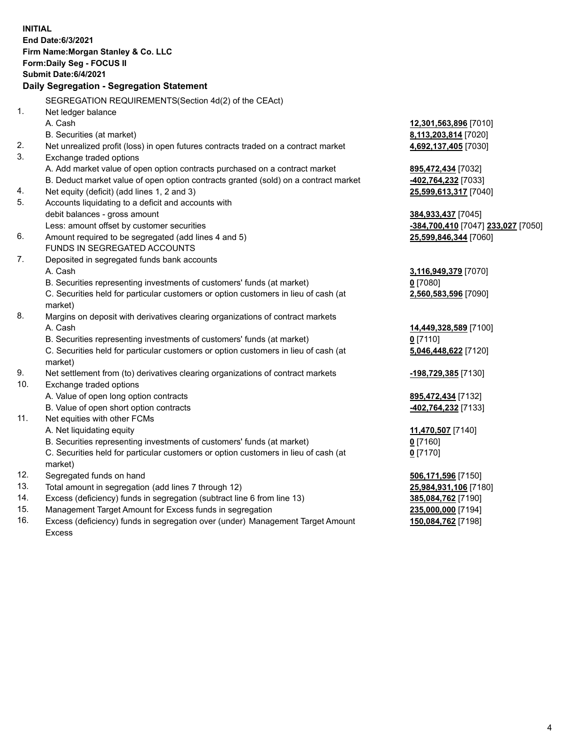|     | <b>INITIAL</b>                                                                                 |                                     |
|-----|------------------------------------------------------------------------------------------------|-------------------------------------|
|     | End Date: 6/3/2021                                                                             |                                     |
|     | Firm Name: Morgan Stanley & Co. LLC                                                            |                                     |
|     | Form: Daily Seg - FOCUS II                                                                     |                                     |
|     | <b>Submit Date:6/4/2021</b>                                                                    |                                     |
|     | Daily Segregation - Segregation Statement                                                      |                                     |
|     |                                                                                                |                                     |
|     | SEGREGATION REQUIREMENTS(Section 4d(2) of the CEAct)                                           |                                     |
| 1.  | Net ledger balance                                                                             |                                     |
|     | A. Cash                                                                                        | 12,301,563,896 [7010]               |
|     | B. Securities (at market)                                                                      | 8,113,203,814 [7020]                |
| 2.  | Net unrealized profit (loss) in open futures contracts traded on a contract market             | 4,692,137,405 [7030]                |
| 3.  | Exchange traded options                                                                        |                                     |
|     | A. Add market value of open option contracts purchased on a contract market                    | 895,472,434 [7032]                  |
|     | B. Deduct market value of open option contracts granted (sold) on a contract market            | -402,764,232 [7033]                 |
| 4.  | Net equity (deficit) (add lines 1, 2 and 3)                                                    | 25,599,613,317 [7040]               |
| 5.  | Accounts liquidating to a deficit and accounts with                                            |                                     |
|     | debit balances - gross amount                                                                  | 384,933,437 [7045]                  |
|     | Less: amount offset by customer securities                                                     | -384,700,410 [7047] 233,027 [7050]  |
| 6.  | Amount required to be segregated (add lines 4 and 5)                                           | 25,599,846,344 [7060]               |
|     | FUNDS IN SEGREGATED ACCOUNTS                                                                   |                                     |
| 7.  | Deposited in segregated funds bank accounts<br>A. Cash                                         |                                     |
|     |                                                                                                | 3,116,949,379 [7070]                |
|     | B. Securities representing investments of customers' funds (at market)                         | $0$ [7080]                          |
|     | C. Securities held for particular customers or option customers in lieu of cash (at            | 2,560,583,596 [7090]                |
| 8.  | market)                                                                                        |                                     |
|     | Margins on deposit with derivatives clearing organizations of contract markets<br>A. Cash      |                                     |
|     |                                                                                                | 14,449,328,589 [7100]<br>$0$ [7110] |
|     | B. Securities representing investments of customers' funds (at market)                         |                                     |
|     | C. Securities held for particular customers or option customers in lieu of cash (at<br>market) | 5,046,448,622 [7120]                |
| 9.  | Net settlement from (to) derivatives clearing organizations of contract markets                | -198,729,385 [7130]                 |
| 10. | Exchange traded options                                                                        |                                     |
|     | A. Value of open long option contracts                                                         | 895,472,434 [7132]                  |
|     | B. Value of open short option contracts                                                        | 402,764,232 [7133]                  |
| 11. | Net equities with other FCMs                                                                   |                                     |
|     | A. Net liquidating equity                                                                      | 11,470,507 [7140]                   |
|     | B. Securities representing investments of customers' funds (at market)                         | $0$ [7160]                          |
|     | C. Securities held for particular customers or option customers in lieu of cash (at            | $0$ [7170]                          |
|     | market)                                                                                        |                                     |
| 12. | Segregated funds on hand                                                                       | 506,171,596 [7150]                  |
| 13. | Total amount in segregation (add lines 7 through 12)                                           | 25,984,931,106 [7180]               |
| 14. | Excess (deficiency) funds in segregation (subtract line 6 from line 13)                        | 385,084,762 [7190]                  |
| 15. | Management Target Amount for Excess funds in segregation                                       | 235,000,000 [7194]                  |
| 16. | Excess (deficiency) funds in segregation over (under) Management Target Amount                 | 150,084,762 [7198]                  |

16. Excess (deficiency) funds in segregation over (under) Management Target Amount Excess